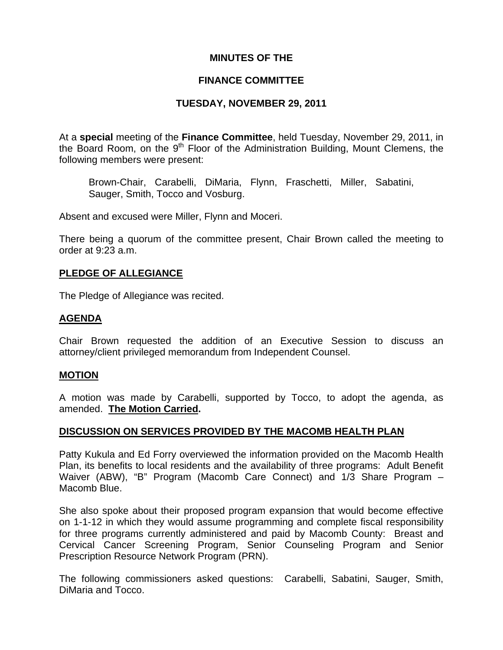## **MINUTES OF THE**

## **FINANCE COMMITTEE**

## **TUESDAY, NOVEMBER 29, 2011**

At a **special** meeting of the **Finance Committee**, held Tuesday, November 29, 2011, in the Board Room, on the 9<sup>th</sup> Floor of the Administration Building, Mount Clemens, the following members were present:

Brown-Chair, Carabelli, DiMaria, Flynn, Fraschetti, Miller, Sabatini, Sauger, Smith, Tocco and Vosburg.

Absent and excused were Miller, Flynn and Moceri.

There being a quorum of the committee present, Chair Brown called the meeting to order at 9:23 a.m.

## **PLEDGE OF ALLEGIANCE**

The Pledge of Allegiance was recited.

## **AGENDA**

Chair Brown requested the addition of an Executive Session to discuss an attorney/client privileged memorandum from Independent Counsel.

### **MOTION**

A motion was made by Carabelli, supported by Tocco, to adopt the agenda, as amended. **The Motion Carried.** 

## **DISCUSSION ON SERVICES PROVIDED BY THE MACOMB HEALTH PLAN**

Patty Kukula and Ed Forry overviewed the information provided on the Macomb Health Plan, its benefits to local residents and the availability of three programs: Adult Benefit Waiver (ABW), "B" Program (Macomb Care Connect) and 1/3 Share Program – Macomb Blue.

She also spoke about their proposed program expansion that would become effective on 1-1-12 in which they would assume programming and complete fiscal responsibility for three programs currently administered and paid by Macomb County: Breast and Cervical Cancer Screening Program, Senior Counseling Program and Senior Prescription Resource Network Program (PRN).

The following commissioners asked questions: Carabelli, Sabatini, Sauger, Smith, DiMaria and Tocco.